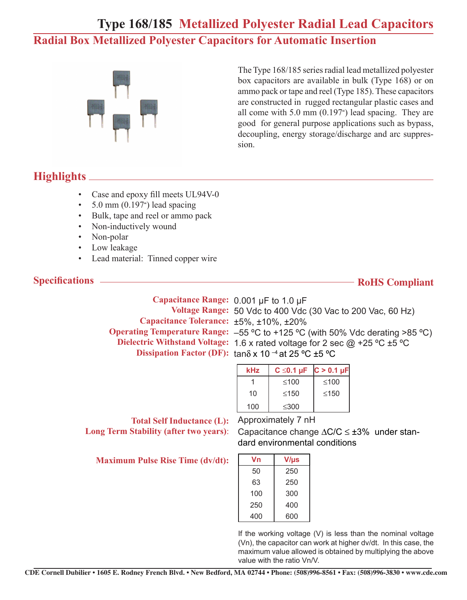## **Type 168/185 Metallized Polyester Radial Lead Capacitors Radial Box Metallized Polyester Capacitors for Automatic Insertion**



The Type 168/185 series radial lead metallized polyester box capacitors are available in bulk (Type 168) or on ammo pack or tape and reel (Type 185). These capacitors are constructed in rugged rectangular plastic cases and all come with 5.0 mm (0.197") lead spacing. They are good for general purpose applications such as bypass, decoupling, energy storage/discharge and arc suppression.

## **Highlights**

- Case and epoxy fill meets UL94V-0
- $\cdot$  5.0 mm (0.197<sup>"</sup>) lead spacing
- Bulk, tape and reel or ammo pack
- Non-inductively wound
- Non-polar
- Low leakage
- Lead material: Tinned copper wire

#### **Specifications**

#### **RoHS Compliant**

**Capacitance Range:**  0.001 µF to 1.0 µF  **Voltage Range:**  50 Vdc to 400 Vdc (30 Vac to 200 Vac, 60 Hz) **Capacitance Tolerance:** ±5%, ±10%, ±20%  **Operating Temperature Range:**  –55 ºC to +125 ºC (with 50% Vdc derating >85 ºC) **Dielectric Withstand Voltage:** 1.6 x rated voltage for 2 sec @ +25 ºC ±5 ºC **Dissipation Factor (DF):** tanδ x 10 –4 at 25 ºC ±5 ºC

| kHz | $C \le 0.1 \mu F$ | $C > 0.1 \mu F$ |
|-----|-------------------|-----------------|
|     | $≤100$            | ≤100            |
| 10  | $\leq 150$        | $\leq 150$      |
| 100 | $\leq 300$        |                 |

**Total Self Inductance (L):** Approximately 7 nH **Long Term Stability (after two years):** 

**Maximum Pulse Rise Time (dv/dt):**

| Capacitance change $\Delta C/C \leq \pm 3\%$ under stan- |
|----------------------------------------------------------|
| dard environmental conditions                            |
|                                                          |

| Vn  | $V/\mu s$ |
|-----|-----------|
| 50  | 250       |
| 63  | 250       |
| 100 | 300       |
| 250 | 400       |
| 400 | 600       |
|     |           |

If the working voltage (V) is less than the nominal voltage (Vn), the capacitor can work at higher dv/dt. In this case, the maximum value allowed is obtained by multiplying the above value with the ratio Vn/V.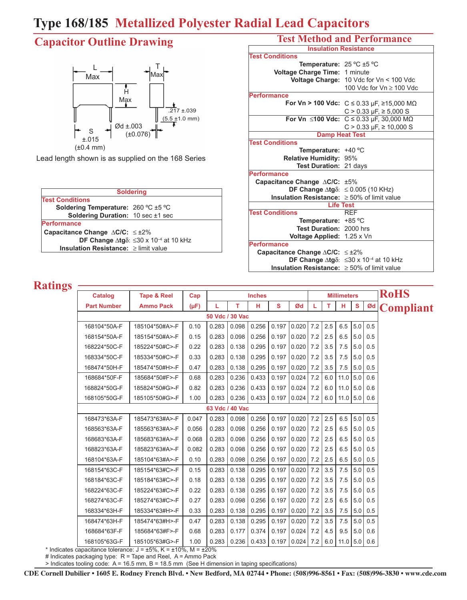# **Type 168/185 Metallized Polyester Radial Lead Capacitors**

# **Capacitor Outline Drawing**



Lead length shown is as supplied on the 168 Series

|                                                    | <b>Soldering</b>                                                                                   |  |  |  |  |  |  |
|----------------------------------------------------|----------------------------------------------------------------------------------------------------|--|--|--|--|--|--|
| <b>Test Conditions</b>                             |                                                                                                    |  |  |  |  |  |  |
| Soldering Temperature: 260 °C ±5 °C                |                                                                                                    |  |  |  |  |  |  |
| <b>Soldering Duration:</b> 10 sec $\pm$ 1 sec      |                                                                                                    |  |  |  |  |  |  |
| Performance                                        |                                                                                                    |  |  |  |  |  |  |
| Capacitance Change $\triangle$ C/C: $\leq \pm 2\%$ |                                                                                                    |  |  |  |  |  |  |
|                                                    | <b>DF Change <math>\Delta</math>tg<math>\delta</math></b> : $\leq$ 30 x 10 <sup>-4</sup> at 10 kHz |  |  |  |  |  |  |
| <b>Insulation Resistance:</b> $\geq$ limit value   |                                                                                                    |  |  |  |  |  |  |

#### **Test Method and Performance**

| <b>Insulation Resistance</b>                             |                                                                         |  |  |  |  |  |
|----------------------------------------------------------|-------------------------------------------------------------------------|--|--|--|--|--|
| <b>Test Conditions</b>                                   |                                                                         |  |  |  |  |  |
| Temperature: 25 °C ±5 °C                                 |                                                                         |  |  |  |  |  |
| Voltage Charge Time: 1 minute                            |                                                                         |  |  |  |  |  |
|                                                          | <b>Voltage Charge: 10 Vdc for Vn &lt; 100 Vdc</b>                       |  |  |  |  |  |
|                                                          | 100 Vdc for Vn ≥ 100 Vdc                                                |  |  |  |  |  |
| <b>Performance</b>                                       |                                                                         |  |  |  |  |  |
|                                                          | For Vn > 100 Vdc: C ≤ 0.33 µF, ≥15,000 MΩ                               |  |  |  |  |  |
|                                                          | $C > 0.33 \mu F$ , $\geq 5,000 \text{ S}$                               |  |  |  |  |  |
|                                                          | For Vn ≤100 Vdc: $C$ ≤ 0.33 µF, 30,000 MΩ                               |  |  |  |  |  |
|                                                          | $C > 0.33 \mu F$ , $\geq 10,000 S$                                      |  |  |  |  |  |
|                                                          | <b>Damp Heat Test</b>                                                   |  |  |  |  |  |
| <b>Test Conditions</b>                                   |                                                                         |  |  |  |  |  |
| Temperature: $+40$ °C                                    |                                                                         |  |  |  |  |  |
| Relative Humidity: 95%                                   |                                                                         |  |  |  |  |  |
| Test Duration: 21 days                                   |                                                                         |  |  |  |  |  |
| <b>Performance</b>                                       |                                                                         |  |  |  |  |  |
| Capacitance Change $\triangle$ C/C: $\pm$ 5%             |                                                                         |  |  |  |  |  |
|                                                          | DF Change $\Delta t g \delta$ : $\leq 0.005$ (10 KHz)                   |  |  |  |  |  |
| <b>Insulation Resistance:</b> $\geq 50\%$ of limit value |                                                                         |  |  |  |  |  |
|                                                          | <b>Life Test</b>                                                        |  |  |  |  |  |
| <b>Test Conditions</b>                                   | <b>RFF</b>                                                              |  |  |  |  |  |
| Temperature: +85 °C                                      |                                                                         |  |  |  |  |  |
| Test Duration: 2000 hrs                                  |                                                                         |  |  |  |  |  |
| Voltage Applied: 1.25 x Vn                               |                                                                         |  |  |  |  |  |
| <b>Performance</b>                                       |                                                                         |  |  |  |  |  |
| Capacitance Change $\Delta$ C/C: $\leq \pm 2\%$          |                                                                         |  |  |  |  |  |
|                                                          | DF Change $\Delta$ tg $\delta$ : $\leq$ 30 x 10 <sup>-4</sup> at 10 kHz |  |  |  |  |  |
| <b>Insulation Resistance:</b> $\geq 50\%$ of limit value |                                                                         |  |  |  |  |  |

#### **Ratings**

| шщұр |                    |                                                                                    |           |                 |       |               |   |                     |     |     |                    |     |     |                  |
|------|--------------------|------------------------------------------------------------------------------------|-----------|-----------------|-------|---------------|---|---------------------|-----|-----|--------------------|-----|-----|------------------|
|      | <b>Catalog</b>     | <b>Tape &amp; Reel</b>                                                             | Cap       |                 |       | <b>Inches</b> |   |                     |     |     | <b>Millimeters</b> |     |     | <b>RoHS</b>      |
|      | <b>Part Number</b> | <b>Ammo Pack</b>                                                                   | $(\mu F)$ | L               | т     | н             | S | Ød                  | L   | т   | н                  | S   | Ød  | <b>Compliant</b> |
|      |                    |                                                                                    |           | 50 Vdc / 30 Vac |       |               |   |                     |     |     |                    |     |     |                  |
|      | 168104*50A-F       | 185104*50#A>-F                                                                     | 0.10      | 0.283           | 0.098 | 0.256         |   | 0.197   0.020       | 7.2 | 2.5 | $6.5$ 5.0          |     | 0.5 |                  |
|      | 168154*50A-F       | 185154*50#A>-F                                                                     | 0.15      | 0.283           | 0.098 | 0.256         |   | $0.197$   $0.020$   | 7.2 | 2.5 | 6.5                | 5.0 | 0.5 |                  |
|      | 168224*50C-F       | 185224*50#C>-F                                                                     | 0.22      | 0.283           | 0.138 | 0.295         |   | $0.197$   $0.020$   | 7.2 | 3.5 | 7.5                | 5.0 | 0.5 |                  |
|      | 168334*50C-F       | 185334*50#C>-F                                                                     | 0.33      | 0.283           | 0.138 | 0.295         |   | $0.197$ 0.020       | 7.2 | 3.5 | 7.5                | 5.0 | 0.5 |                  |
|      | 168474*50H-F       | 185474*50#H>-F                                                                     | 0.47      | 0.283           | 0.138 | 0.295         |   | 0.197   0.020       | 7.2 | 3.5 | 7.5                | 5.0 | 0.5 |                  |
|      | 168684*50F-F       | 185684*50#F>-F                                                                     | 0.68      | 0.283           | 0.236 | 0.433         |   | $0.197$   $0.024$   | 7.2 | 6.0 | $11.0$ 5.0         |     | 0.6 |                  |
|      | 168824*50G-F       | 185824*50#G>-F                                                                     | 0.82      | 0.283           | 0.236 | 0.433         |   | $0.197$ 0.024 7.2   |     | 6.0 | $11.0$ 5.0         |     | 0.6 |                  |
|      | 168105*50G-F       | 185105*50#G>-F                                                                     | 1.00      | 0.283           | 0.236 | 0.433         |   | $0.197$ 0.024 7.2   |     | 6.0 | $11.0$ 5.0 0.6     |     |     |                  |
|      |                    |                                                                                    |           | 63 Vdc / 40 Vac |       |               |   |                     |     |     |                    |     |     |                  |
|      | 168473*63A-F       | 185473*63#A>-F                                                                     | 0.047     | 0.283           | 0.098 | 0.256         |   | $0.197$ 0.020       | 7.2 | 2.5 | $6.5$ 5.0          |     | 0.5 |                  |
|      | 168563*63A-F       | 185563*63#A>-F                                                                     | 0.056     | 0.283           | 0.098 | 0.256         |   | $0.197$ 0.020       | 7.2 | 2.5 | 6.5                | 5.0 | 0.5 |                  |
|      | 168683*63A-F       | 185683*63#A>-F                                                                     | 0.068     | 0.283           | 0.098 | 0.256         |   | $0.197$   $0.020$   | 7.2 | 2.5 | 6.5                | 5.0 | 0.5 |                  |
|      | 168823*63A-F       | 185823*63#A>-F                                                                     | 0.082     | 0.283           | 0.098 | 0.256         |   | $0.197$ 0.020       | 7.2 | 2.5 | 6.5                | 5.0 | 0.5 |                  |
|      | 168104*63A-F       | 185104*63#A>-F                                                                     | 0.10      | 0.283           | 0.098 | 0.256         |   | $0.197$ 0.020       | 7.2 | 2.5 | 6.5                | 5.0 | 0.5 |                  |
|      | 168154*63C-F       | 185154*63#C>-F                                                                     | 0.15      | 0.283           | 0.138 | 0.295         |   | $0.197$   $0.020$   | 7.2 | 3.5 | 7.5                | 5.0 | 0.5 |                  |
|      | 168184*63C-F       | 185184*63#C>-F                                                                     | 0.18      | 0.283           | 0.138 | 0.295         |   | $0.197$   $0.020$   | 7.2 | 3.5 | 7.5                | 5.0 | 0.5 |                  |
|      | 168224*63C-F       | 185224*63#C>-F                                                                     | 0.22      | 0.283           | 0.138 | 0.295         |   | $0.197$   $0.020$   | 7.2 | 3.5 | 7.5                | 5.0 | 0.5 |                  |
|      | 168274*63C-F       | 185274*63#C>-F                                                                     | 0.27      | 0.283           | 0.098 | 0.256         |   | $0.197$ 0.020       | 7.2 | 2.5 | 6.5                | 5.0 | 0.5 |                  |
|      | 168334*63H-F       | 185334*63#H>-F                                                                     | 0.33      | 0.283           | 0.138 | 0.295         |   | 0.197   0.020       | 7.2 | 3.5 | 7.5                | 5.0 | 0.5 |                  |
|      | 168474*63H-F       | 185474*63#H>-F                                                                     | 0.47      | 0.283           | 0.138 | 0.295         |   | $0.197$ 0.020       | 7.2 | 3.5 | 7.5                | 5.0 | 0.5 |                  |
|      | 168684*63F-F       | 185684*63#F>-F                                                                     | 0.68      | 0.283           | 0.177 | 0.374         |   | $0.197$ $0.024$ 7.2 |     | 4.5 | $9.5$ 5.0          |     | 0.6 |                  |
|      | 168105*63G-F       | 185105*63#G>-F                                                                     | 1.00      | 0.283           | 0.236 | 0.433         |   | $0.197$ 0.024       | 7.2 | 6.0 | $11.0$ 5.0         |     | 0.6 |                  |
|      |                    | * Indicates capacitance tolerance: $J = \pm 5\%$ , $K = \pm 10\%$ , $M = \pm 20\%$ |           |                 |       |               |   |                     |     |     |                    |     |     |                  |

# Indicates packaging type: R = Tape and Reel, A = Ammo Pack

> Indicates tooling code: A = 16.5 mm, B = 18.5 mm (See H dimension in taping specifications)

**CDE Cornell Dubilier • 1605 E. Rodney French Blvd. • New Bedford, MA 02744 • Phone: (508)996-8561 • Fax: (508)996-3830 • www.cde.com**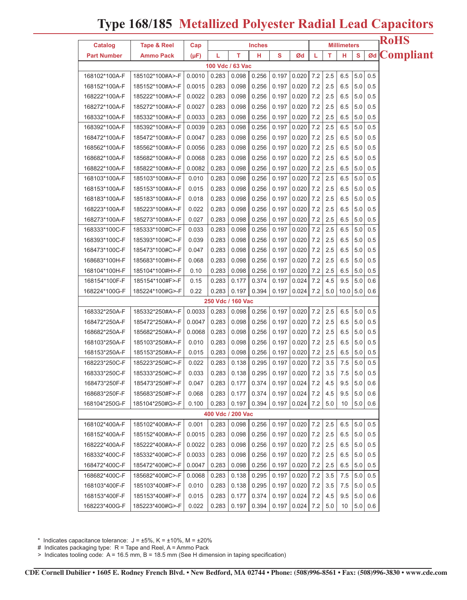## **Type 168/185 Metallized Polyester Radial Lead Capacitors**

| Catalog            | Tape & Reel      | <b>Millimeters</b><br>Cap<br><b>Inches</b>                                    |                   |       |       |       |                             |                     |     | <b>RoHS</b>  |     |             |  |
|--------------------|------------------|-------------------------------------------------------------------------------|-------------------|-------|-------|-------|-----------------------------|---------------------|-----|--------------|-----|-------------|--|
| <b>Part Number</b> | <b>Ammo Pack</b> | $\mathbf{s}$<br>т<br>$\mathbf{s}$<br>т<br>н<br>н<br>Ød<br>$(\mu F)$<br>L<br>L |                   |       |       |       |                             | <b>ød</b> Compliant |     |              |     |             |  |
|                    |                  |                                                                               | 100 Vdc / 63 Vac  |       |       |       |                             |                     |     |              |     |             |  |
| 168102*100A-F      | 185102*100#A>-F  | 0.0010                                                                        | 0.283             | 0.098 | 0.256 | 0.197 | 0.020                       | 7.2                 | 2.5 | 6.5          | 5.0 | 0.5         |  |
| 168152*100A-F      | 185152*100#A>-F  | 0.0015                                                                        | 0.283             | 0.098 | 0.256 | 0.197 | 0.020                       | 7.2                 | 2.5 | 6.5          | 5.0 | 0.5         |  |
| 168222*100A-F      | 185222*100#A>-F  | 0.0022                                                                        | 0.283             | 0.098 | 0.256 | 0.197 | 0.020                       | 7.2                 | 2.5 | 6.5          | 5.0 | 0.5         |  |
| 168272*100A-F      | 185272*100#A>-F  | 0.0027                                                                        | 0.283             | 0.098 | 0.256 | 0.197 | 0.020                       | 7.2                 | 2.5 | 6.5          | 5.0 | 0.5         |  |
| 168332*100A-F      | 185332*100#A>-F  | 0.0033                                                                        | 0.283             | 0.098 | 0.256 | 0.197 | 0.020                       | 7.2                 | 2.5 | 6.5          | 5.0 | 0.5         |  |
| 168392*100A-F      | 185392*100#A>-F  | 0.0039                                                                        | 0.283             | 0.098 | 0.256 | 0.197 | 0.020                       | 7.2                 | 2.5 | 6.5          | 5.0 | 0.5         |  |
| 168472*100A-F      | 185472*100#A>-F  | 0.0047                                                                        | 0.283             | 0.098 | 0.256 | 0.197 | 0.020                       | 7.2                 | 2.5 | 6.5          | 5.0 | 0.5         |  |
| 168562*100A-F      | 185562*100#A>-F  | 0.0056                                                                        | 0.283             | 0.098 | 0.256 | 0.197 | 0.020                       | 7.2                 | 2.5 | 6.5          | 5.0 | 0.5         |  |
| 168682*100A-F      | 185682*100#A>-F  | 0.0068                                                                        | 0.283             | 0.098 | 0.256 | 0.197 | 0.020                       | 7.2                 | 2.5 | 6.5          | 5.0 | 0.5         |  |
| 168822*100A-F      | 185822*100#A>-F  | 0.0082                                                                        | 0.283             | 0.098 | 0.256 | 0.197 | 0.020                       | 7.2                 | 2.5 | 6.5          | 5.0 | 0.5         |  |
| 168103*100A-F      | 185103*100#A>-F  | 0.010                                                                         | 0.283             | 0.098 | 0.256 | 0.197 | 0.020                       | 7.2                 | 2.5 | 6.5          | 5.0 | 0.5         |  |
| 168153*100A-F      | 185153*100#A>-F  | 0.015                                                                         | 0.283             | 0.098 | 0.256 | 0.197 | 0.020                       | 7.2                 | 2.5 | 6.5          | 5.0 | 0.5         |  |
| 168183*100A-F      | 185183*100#A>-F  | 0.018                                                                         | 0.283             | 0.098 | 0.256 | 0.197 | 0.020                       | 7.2                 | 2.5 | 6.5          | 5.0 | 0.5         |  |
| 168223*100A-F      | 185223*100#A>-F  | 0.022                                                                         | 0.283             | 0.098 | 0.256 | 0.197 | 0.020                       | 7.2                 | 2.5 | 6.5          | 5.0 | 0.5         |  |
| 168273*100A-F      | 185273*100#A>-F  | 0.027                                                                         | 0.283             | 0.098 | 0.256 | 0.197 | 0.020                       | 7.2                 | 2.5 | 6.5          | 5.0 | 0.5         |  |
| 168333*100C-F      | 185333*100#C>-F  | 0.033                                                                         | 0.283             | 0.098 | 0.256 | 0.197 | 0.020                       | 7.2                 | 2.5 | 6.5          | 5.0 | 0.5         |  |
| 168393*100C-F      | 185393*100#C>-F  | 0.039                                                                         | 0.283             | 0.098 | 0.256 | 0.197 | 0.020                       | 7.2                 | 2.5 | 6.5          | 5.0 | 0.5         |  |
| 168473*100C-F      | 185473*100#C>-F  | 0.047                                                                         | 0.283             | 0.098 | 0.256 | 0.197 | 0.020                       | 7.2                 | 2.5 | 6.5          | 5.0 | 0.5         |  |
| 168683*100H-F      | 185683*100#H>-F  | 0.068                                                                         | 0.283             | 0.098 | 0.256 | 0.197 | 0.020                       | 7.2                 | 2.5 | 6.5          | 5.0 | 0.5         |  |
| 168104*100H-F      | 185104*100#H>-F  | 0.10                                                                          | 0.283             | 0.098 | 0.256 | 0.197 | 0.020                       | 7.2                 | 2.5 | 6.5          | 5.0 | 0.5         |  |
| 168154*100F-F      | 185154*100#F>-F  | 0.15                                                                          | 0.283             | 0.177 | 0.374 | 0.197 | 0.024                       | 7.2                 | 4.5 | 9.5          | 5.0 | 0.6         |  |
| 168224*100G-F      | 185224*100#G>-F  | 0.22                                                                          | 0.283             | 0.197 | 0.394 | 0.197 | 0.024                       | 7.2                 | 5.0 | $10.0$   5.0 |     | 0.6         |  |
|                    |                  |                                                                               | 250 Vdc / 160 Vac |       |       |       |                             |                     |     |              |     |             |  |
| 168332*250A-F      | 185332*250#A>-F  | 0.0033                                                                        | 0.283             | 0.098 | 0.256 | 0.197 | 0.020                       | 7.2                 | 2.5 | 6.5          | 5.0 | 0.5         |  |
| 168472*250A-F      | 185472*250#A>-F  | 0.0047                                                                        | 0.283             | 0.098 | 0.256 | 0.197 | 0.020                       | 7.2                 | 2.5 | 6.5          | 5.0 | 0.5         |  |
| 168682*250A-F      | 185682*250#A>-F  | 0.0068                                                                        | 0.283             | 0.098 | 0.256 | 0.197 | 0.020                       | 7.2                 | 2.5 | 6.5          | 5.0 | 0.5         |  |
| 168103*250A-F      | 185103*250#A>-F  | 0.010                                                                         | 0.283             | 0.098 | 0.256 | 0.197 | 0.020                       | 7.2                 | 2.5 | 6.5          | 5.0 | 0.5         |  |
| 168153*250A-F      | 185153*250#A>-F  | 0.015                                                                         | 0.283             | 0.098 | 0.256 | 0.197 | 0.020                       | 7.2                 | 2.5 | 6.5          | 5.0 | 0.5         |  |
| 168223*250C-F      | 185223*250#C>-F  | 0.022                                                                         | 0.283             | 0.138 | 0.295 | 0.197 | 0.020                       | 7.2                 | 3.5 | 7.5          | 5.0 | 0.5         |  |
| 168333*250C-F      | 185333*250#C>-F  | 0.033                                                                         | 0.283             | 0.138 | 0.295 |       | $0.197$   $0.020$   $7.2$   |                     | 3.5 | 7.5          | 5.0 | 0.5         |  |
| 168473*250F-F      | 185473*250#F>-F  | 0.047                                                                         | 0.283             | 0.177 | 0.374 |       | $0.197$ $0.024$             | 7.2                 | 4.5 | 9.5          | 5.0 | 0.6         |  |
| 168683*250F-F      | 185683*250#F>-F  | 0.068                                                                         | 0.283             | 0.177 | 0.374 | 0.197 | $0.024$ 7.2                 |                     | 4.5 | 9.5          | 5.0 | 0.6         |  |
| 168104*250G-F      | 185104*250#G>-F  | 0.100                                                                         | 0.283             | 0.197 | 0.394 | 0.197 | 0.024                       | 7.2                 | 5.0 | 10           | 5.0 | 0.6         |  |
|                    |                  |                                                                               | 400 Vdc / 200 Vac |       |       |       |                             |                     |     |              |     |             |  |
| 168102*400A-F      | 185102*400#A>-F  | 0.001                                                                         | 0.283             | 0.098 | 0.256 |       | $0.197$ 0.020 7.2 2.5       |                     |     | 6.5          | 5.0 | 0.5         |  |
| 168152*400A-F      | 185152*400#A>-F  | 0.0015                                                                        | 0.283             | 0.098 | 0.256 |       | $0.197$ $0.020$             | 7.2                 | 2.5 | 6.5          | 5.0 | 0.5         |  |
| 168222*400A-F      | 185222*400#A>-F  | 0.0022                                                                        | 0.283             | 0.098 | 0.256 | 0.197 | 0.020                       | 7.2                 | 2.5 | 6.5          | 5.0 | 0.5         |  |
| 168332*400C-F      | 185332*400#C>-F  | 0.0033                                                                        | 0.283             | 0.098 | 0.256 |       | $0.197$   0.020   7.2   2.5 |                     |     | 6.5          | 5.0 | 0.5         |  |
| 168472*400C-F      | 185472*400#C>-F  | 0.0047                                                                        | 0.283             | 0.098 | 0.256 | 0.197 | 0.020                       | 7.2                 | 2.5 | 6.5          | 5.0 | 0.5         |  |
| 168682*400C-F      | 185682*400#C>-F  | 0.0068                                                                        | 0.283             | 0.138 | 0.295 | 0.197 | 0.020                       | 7.2                 | 3.5 | 7.5          | 5.0 | 0.5         |  |
| 168103*400F-F      | 185103*400#F>-F  | 0.010                                                                         | 0.283             | 0.138 | 0.295 |       | 0.197   0.020               | 7.2                 | 3.5 | 7.5          | 5.0 | 0.5         |  |
| 168153*400F-F      | 185153*400#F>-F  | 0.015                                                                         | 0.283             | 0.177 | 0.374 | 0.197 | 0.024                       | 7.2                 | 4.5 | 9.5          | 5.0 | 0.6         |  |
| 168223*400G-F      | 185223*400#G>-F  | 0.022                                                                         | 0.283             | 0.197 | 0.394 | 0.197 | 0.024                       | 7.2                 | 5.0 | 10           |     | $5.0$   0.6 |  |

\* Indicates capacitance tolerance:  $J = \pm 5\%$ ,  $K = \pm 10\%$ ,  $M = \pm 20\%$ 

# Indicates packaging type: R = Tape and Reel, A = Ammo Pack

> Indicates tooling code: A = 16.5 mm, B = 18.5 mm (See H dimension in taping specification)